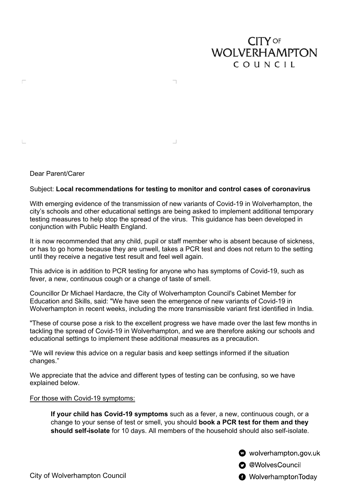# **CITY OF WOLVERHAMPTON** COUNCIL

Dear Parent/Carer

 $\Box$ 

 $\mathbb{L}$ 

## Subject: **Local recommendations for testing to monitor and control cases of coronavirus**

 $\Box$ 

With emerging evidence of the transmission of new variants of Covid-19 in Wolverhampton, the city's schools and other educational settings are being asked to implement additional temporary testing measures to help stop the spread of the virus. This guidance has been developed in conjunction with Public Health England.

It is now recommended that any child, pupil or staff member who is absent because of sickness, or has to go home because they are unwell, takes a PCR test and does not return to the setting until they receive a negative test result and feel well again.

This advice is in addition to PCR testing for anyone who has symptoms of Covid-19, such as fever, a new, continuous cough or a change of taste of smell.

Councillor Dr Michael Hardacre, the City of Wolverhampton Council's Cabinet Member for Education and Skills, said: "We have seen the emergence of new variants of Covid-19 in Wolverhampton in recent weeks, including the more transmissible variant first identified in India.

"These of course pose a risk to the excellent progress we have made over the last few months in tackling the spread of Covid-19 in Wolverhampton, and we are therefore asking our schools and educational settings to implement these additional measures as a precaution.

"We will review this advice on a regular basis and keep settings informed if the situation changes."

We appreciate that the advice and different types of testing can be confusing, so we have explained below.

#### For those with Covid-19 symptoms:

**If your child has Covid-19 symptoms** such as a fever, a new, continuous cough, or a change to your sense of test or smell, you should **book a PCR test for them and they should self-isolate** for 10 days. All members of the household should also self-isolate.

wolverhampton gov.uk

**O** @WolvesCouncil

**@** WolverhamptonToday

City of Wolverhampton Council